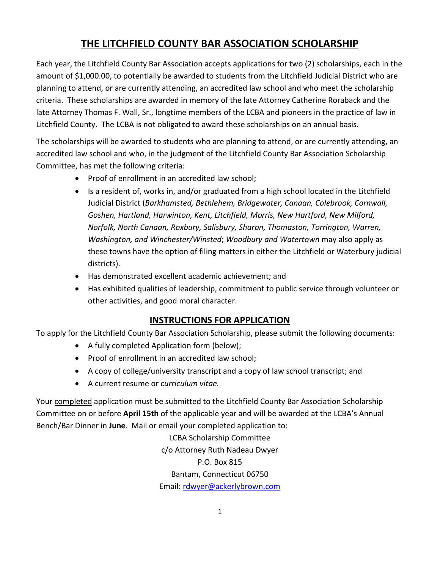## **THE LITCHFIELD COUNTY BAR ASSOCIATION SCHOLARSHIP**

Each year, the Litchfield County Bar Association accepts applications for two (2) scholarships, each in the amount of \$1,000.00, to potentially be awarded to students from the Litchfield Judicial District who are planning to attend, or are currently attending, an accredited law school and who meet the scholarship criteria. These scholarships are awarded in memory of the late Attorney Catherine Roraback and the late Attorney Thomas F. Wall, Sr., longtime members of the LCBA and pioneers in the practice of law in Litchfield County. The LCBA is not obligated to award these scholarships on an annual basis.

The scholarships will be awarded to students who are planning to attend, or are currently attending, an accredited law school and who, in the judgment of the Litchfield County Bar Association Scholarship Committee, has met the following criteria:

- Proof of enrollment in an accredited law school;
- Is a resident of, works in, and/or graduated from a high school located in the Litchfield Judicial District (*Barkhamsted, Bethlehem, Bridgewater, Canaan, Colebrook, Cornwall, Goshen, Hartland, Harwinton, Kent, Litchfield, Morris, New Hartford, New Milford, Norfolk, North Canaan, Roxbury, Salisbury, Sharon, Thomaston, Torrington, Warren, Washington, and Winchester/Winsted*; *Woodbury and Watertown* may also apply as these towns have the option of filing matters in either the Litchfield or Waterbury judicial districts).
- Has demonstrated excellent academic achievement; and
- Has exhibited qualities of leadership, commitment to public service through volunteer or other activities, and good moral character.

## **INSTRUCTIONS FOR APPLICATION**

To apply for the Litchfield County Bar Association Scholarship, please submit the following documents:

- A fully completed Application form (below);
- Proof of enrollment in an accredited law school;
- A copy of college/university transcript and a copy of law school transcript; and
- A current resume or c*urriculum vitae.*

Your completed application must be submitted to the Litchfield County Bar Association Scholarship Committee on or before **April 15th** of the applicable year and will be awarded at the LCBA's Annual Bench/Bar Dinner in **June**. Mail or email your completed application to:

> LCBA Scholarship Committee c/o Attorney Ruth Nadeau Dwyer P.O. Box 815 Bantam, Connecticut 06750 Email: [rdwyer@ackerlybrown.com](mailto:rdwyer@ackerlybrown.com)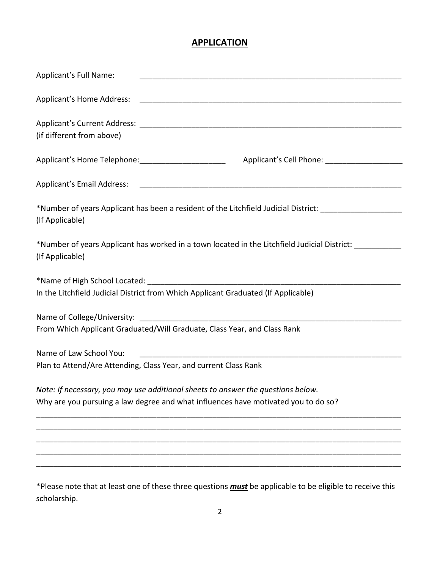## **APPLICATION**

| Applicant's Full Name:                                                                                                            |
|-----------------------------------------------------------------------------------------------------------------------------------|
|                                                                                                                                   |
| (if different from above)                                                                                                         |
|                                                                                                                                   |
|                                                                                                                                   |
| *Number of years Applicant has been a resident of the Litchfield Judicial District: __________________________<br>(If Applicable) |
| *Number of years Applicant has worked in a town located in the Litchfield Judicial District: _________<br>(If Applicable)         |
| In the Litchfield Judicial District from Which Applicant Graduated (If Applicable)                                                |
|                                                                                                                                   |
|                                                                                                                                   |
| From Which Applicant Graduated/Will Graduate, Class Year, and Class Rank                                                          |
| Name of Law School You:                                                                                                           |
| Plan to Attend/Are Attending, Class Year, and current Class Rank                                                                  |
| Note: If necessary, you may use additional sheets to answer the questions below.                                                  |
| Why are you pursuing a law degree and what influences have motivated you to do so?                                                |
|                                                                                                                                   |
|                                                                                                                                   |
|                                                                                                                                   |
| *Please note that at least one of these three questions <i>must</i> be applicable to be eligible to receive this                  |

scholarship.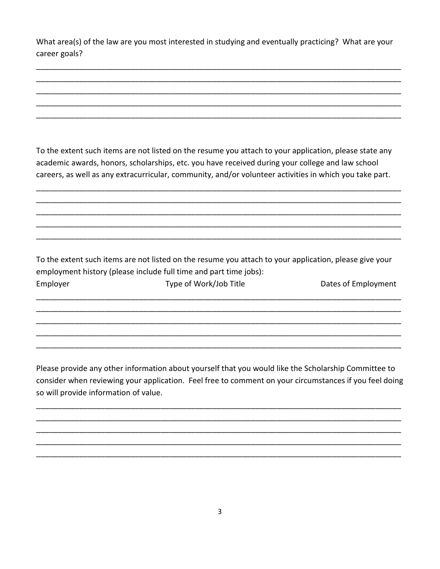What area(s) of the law are you most interested in studying and eventually practicing? What are your career goals?

To the extent such items are not listed on the resume you attach to your application, please state any academic awards, honors, scholarships, etc. you have received during your college and law school careers, as well as any extracurricular, community, and/or volunteer activities in which you take part.

To the extent such items are not listed on the resume you attach to your application, please give your employment history (please include full time and part time jobs): Employer Type of Work/Job Title Dates of Employment

Please provide any other information about yourself that you would like the Scholarship Committee to consider when reviewing your application. Feel free to comment on your circumstances if you feel doing so will provide information of value.